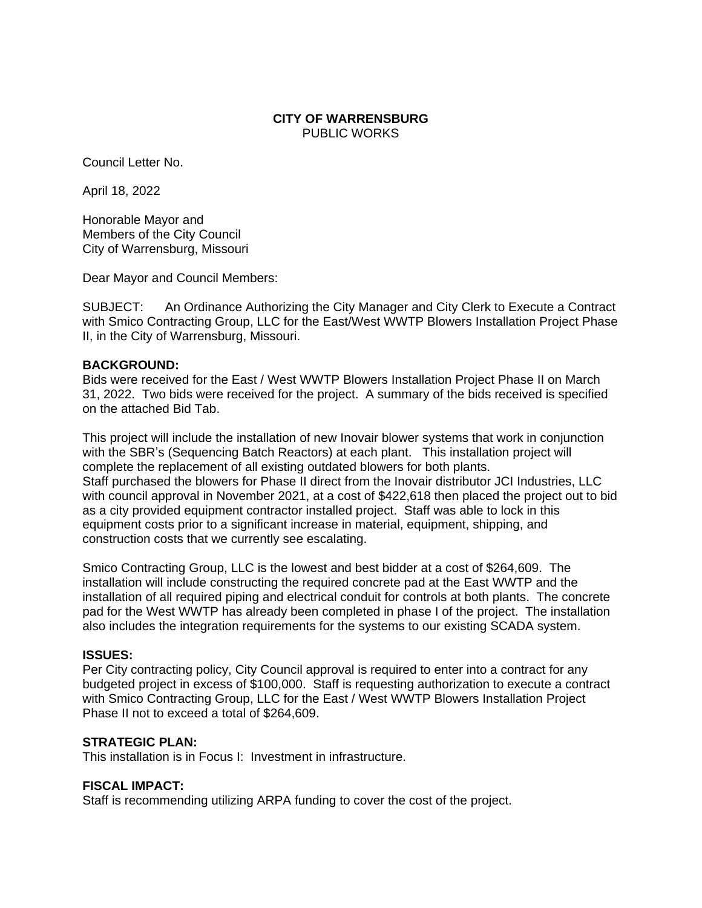#### **CITY OF WARRENSBURG** PUBLIC WORKS

Council Letter No.

April 18, 2022

Honorable Mayor and Members of the City Council City of Warrensburg, Missouri

Dear Mayor and Council Members:

SUBJECT: An Ordinance Authorizing the City Manager and City Clerk to Execute a Contract with Smico Contracting Group, LLC for the East/West WWTP Blowers Installation Project Phase II, in the City of Warrensburg, Missouri.

#### **BACKGROUND:**

Bids were received for the East / West WWTP Blowers Installation Project Phase II on March 31, 2022. Two bids were received for the project. A summary of the bids received is specified on the attached Bid Tab.

This project will include the installation of new Inovair blower systems that work in conjunction with the SBR's (Sequencing Batch Reactors) at each plant. This installation project will complete the replacement of all existing outdated blowers for both plants. Staff purchased the blowers for Phase II direct from the Inovair distributor JCI Industries, LLC with council approval in November 2021, at a cost of \$422,618 then placed the project out to bid as a city provided equipment contractor installed project. Staff was able to lock in this equipment costs prior to a significant increase in material, equipment, shipping, and construction costs that we currently see escalating.

Smico Contracting Group, LLC is the lowest and best bidder at a cost of \$264,609. The installation will include constructing the required concrete pad at the East WWTP and the installation of all required piping and electrical conduit for controls at both plants. The concrete pad for the West WWTP has already been completed in phase I of the project. The installation also includes the integration requirements for the systems to our existing SCADA system.

#### **ISSUES:**

Per City contracting policy, City Council approval is required to enter into a contract for any budgeted project in excess of \$100,000. Staff is requesting authorization to execute a contract with Smico Contracting Group, LLC for the East / West WWTP Blowers Installation Project Phase II not to exceed a total of \$264,609.

# **STRATEGIC PLAN:**

This installation is in Focus I: Investment in infrastructure.

# **FISCAL IMPACT:**

Staff is recommending utilizing ARPA funding to cover the cost of the project.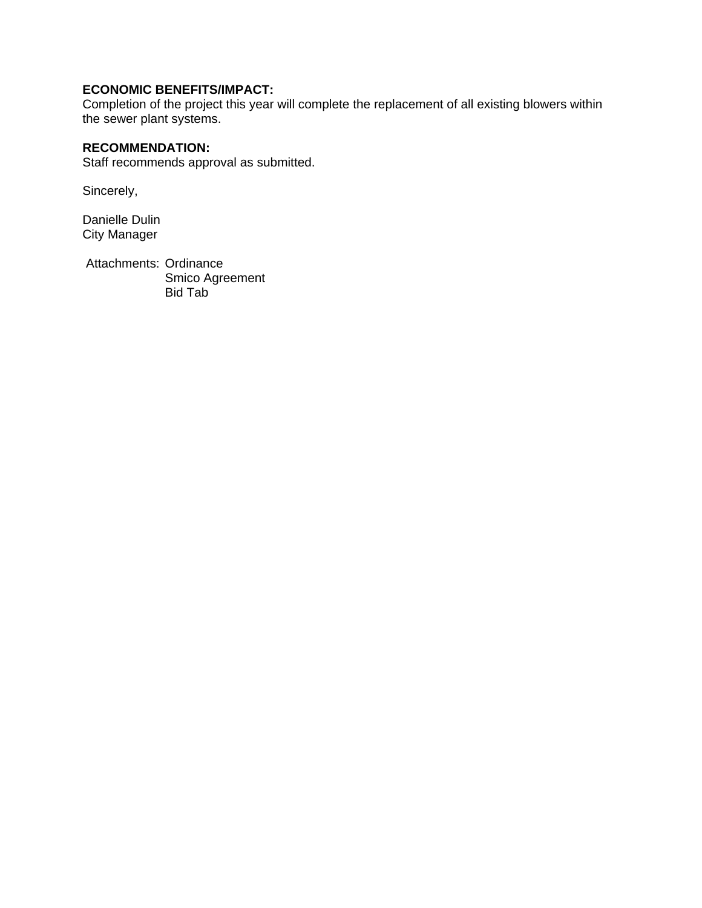# **ECONOMIC BENEFITS/IMPACT:**

Completion of the project this year will complete the replacement of all existing blowers within the sewer plant systems.

# **RECOMMENDATION:**

Staff recommends approval as submitted.

Sincerely,

Danielle Dulin City Manager

Attachments: Ordinance Smico Agreement Bid Tab